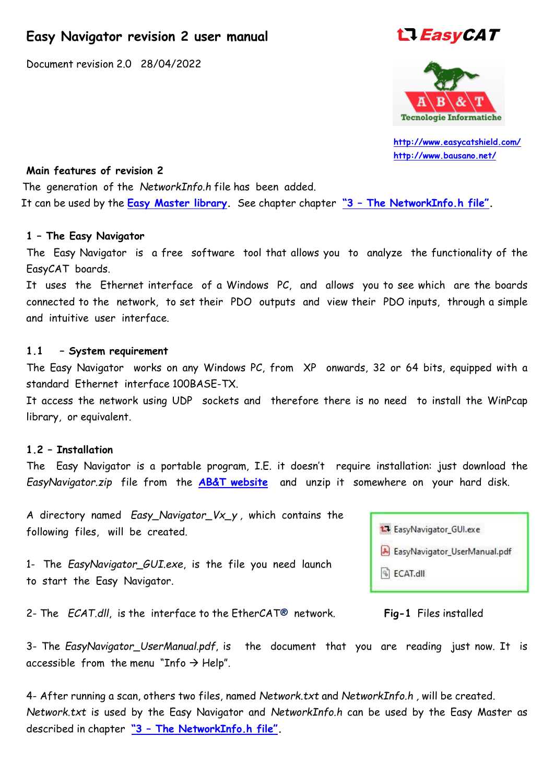# **Easy Navigator revision 2 user manual**

Document revision 2.0 28/04/2022

# **LI** *EasvCAT*



 **<http://www.easycatshield.com/> [http://www.bausano.net/](http://www.bausano.net/en/)**

#### **Main features of revision 2**

The generation of the *NetworkInfo.h* file has been added. It can be used by the **[Easy Master](https://www.bausano.net/images/arduino-easycat/EasyMaster.zip) library.** See chapter chapter **"3 – [The NetworkInfo.h file"](#page-4-0).**

#### **1 – The Easy Navigator**

The Easy Navigator is a free software tool that allows you to analyze the functionality of the EasyCAT boards.

It uses the Ethernet interface of a Windows PC, and allows you to see which are the boards connected to the network, to set their PDO outputs and view their PDO inputs, through a simple and intuitive user interface.

#### **1.1 – System requirement**

The Easy Navigator works on any Windows PC, from XP onwards, 32 or 64 bits, equipped with a standard Ethernet interface 100BASE-TX.

It access the network using UDP sockets and therefore there is no need to install the WinPcap library, or equivalent.

#### **1.2 – Installation**

The Easy Navigator is a portable program, I.E. it doesn't require installation: just download the *EasyNavigator.zip* file from the **[AB&T website](https://www.bausano.net/en/hardware/ethercat-e-arduino/easycat.html)** and unzip it somewhere on your hard disk.

A directory named *Easy\_Navigator\_Vx\_y ,* which contains the following files, will be created.

1- The *EasyNavigator\_GUI.exe*, is the file you need launch to start the Easy Navigator.

2- The *ECAT.dll*, is the interface to the EtherCAT® network. **Fig-1** Files installed

| 11 EasyNavigator_GUI.exe       |
|--------------------------------|
| & EasyNavigator_UserManual.pdf |
| G ECAT.dll                     |

3- The *EasyNavigator\_UserManual.pdf*, is the document that you are reading just now. It is accessible from the menu "Info  $\rightarrow$  Help".

4- After running a scan, others two files, named *Network.txt* and *NetworkInfo.h ,* will be created. *Network.txt* is used by the Easy Navigator and *NetworkInfo.h* can be used by the Easy Master as described in chapter **"3 – [The NetworkInfo.h file"](#page-4-0).**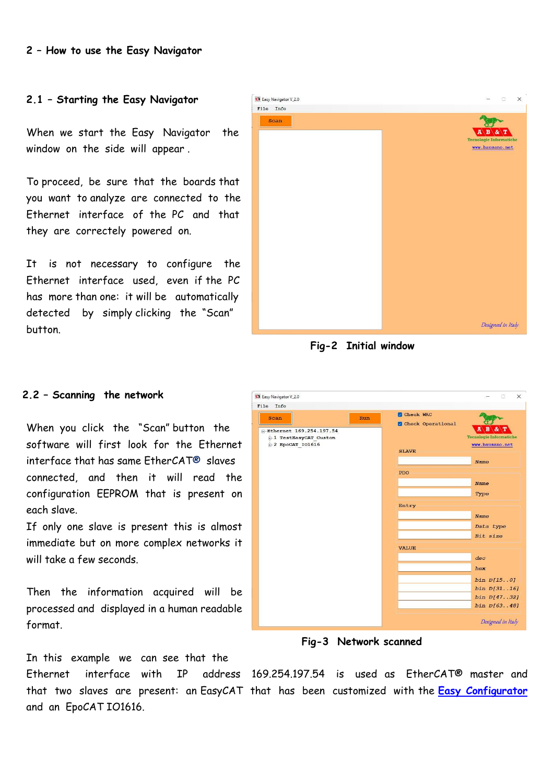#### **2 – How to use the Easy Navigator**

#### **2.1 – Starting the Easy Navigator**

When we start the Easy Navigator the window on the side will appear .

To proceed, be sure that the boards that you want to analyze are connected to the Ethernet interface of the PC and that they are correctely powered on.

It is not necessary to configure the Ethernet interface used, even if the PC has more than one: it will be automatically detected by simply clicking the "Scan" button.



 **Fig-2 Initial window**

#### **2.2 – Scanning the network**

When you click the "Scan" button the software will first look for the Ethernet interface that has same EtherCAT® slaves connected, and then it will read the configuration EEPROM that is present on each slave.

If only one slave is present this is almost immediate but on more complex networks it will take a few seconds.

Then the information acquired will be processed and displayed in a human readable format.

In this example we can see that the

| 17 Easy Navigator V_2.0                                            |     |                                | $\times$<br>$\Box$                                |
|--------------------------------------------------------------------|-----|--------------------------------|---------------------------------------------------|
| Info<br>File                                                       |     |                                |                                                   |
| <b>Scan</b>                                                        | Run | Check WKC<br>Check Operational |                                                   |
| Ethernet 169.254.197.54<br>1 TestEasyCAT Custom<br>2 EpoCAT 101616 |     |                                | <b>Tecnologie Informatiche</b><br>www.bausano.net |
|                                                                    |     | <b>SLAVE</b>                   |                                                   |
|                                                                    |     |                                | <b>Name</b>                                       |
|                                                                    |     | <b>PDO</b>                     |                                                   |
|                                                                    |     |                                | <b>Name</b>                                       |
|                                                                    |     |                                | Type                                              |
|                                                                    |     | Entry                          |                                                   |
|                                                                    |     |                                | Name                                              |
|                                                                    |     |                                | Data type                                         |
|                                                                    |     |                                | Bit size                                          |
|                                                                    |     | <b>VALUE</b>                   |                                                   |
|                                                                    |     |                                | dec                                               |
|                                                                    |     |                                | hex                                               |
|                                                                    |     |                                | bin D[150]                                        |
|                                                                    |     |                                | bin D[3116]                                       |
|                                                                    |     |                                | bin D[4732]                                       |
|                                                                    |     |                                | bin D[6348]                                       |
|                                                                    |     |                                | Designed in Italy                                 |

 **Fig-3 Network scanned**

Ethernet interface with IP address 169.254.197.54 is used as EtherCAT® master and that two slaves are present: an EasyCAT that has been customized with the **[Easy Configurator](https://www.bausano.net/images/arduino-easycat/EasyConfigurator.zip)** and an EpoCAT IO1616.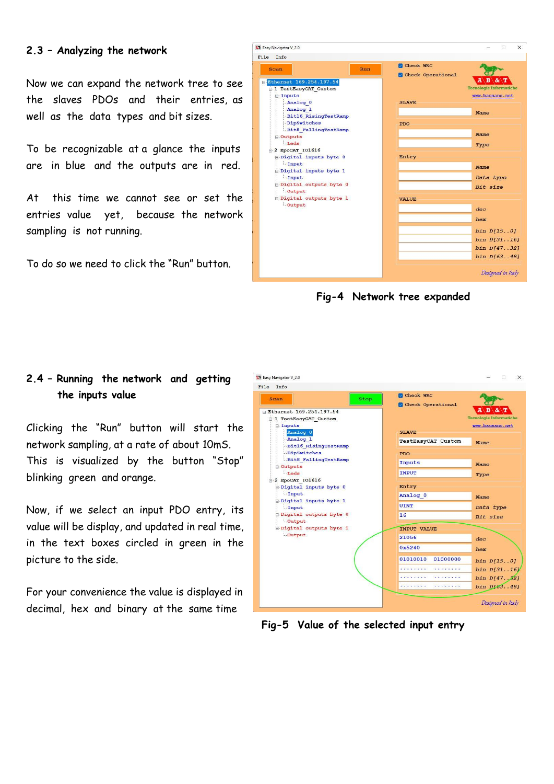#### **2.3 – Analyzing the network**

Now we can expand the network tree to see the slaves PDOs and their entries, as well as the data types and bit sizes.

To be recognizable at a glance the inputs are in blue and the outputs are in red.

At this time we cannot see or set the entries value yet, because the network sampling is not running.

To do so we need to click the "Run" button.

| <b>Scan</b>                              | Run | Check WKC<br>Check Operational |                                                       |
|------------------------------------------|-----|--------------------------------|-------------------------------------------------------|
| Ethernet 169.254.197.54                  |     |                                | ${\tt A} \setminus$<br><b>Tecnologie Informatiche</b> |
| 1 TestEasyCAT Custom<br><b>E-Inputs</b>  |     |                                | www.bausano.net                                       |
| <b>Analog 0</b>                          |     | <b>SLAVE</b>                   |                                                       |
| Analog 1                                 |     |                                |                                                       |
| Bit16 RisingTestRamp                     |     |                                | <b>Name</b>                                           |
| -DipSwitches                             |     | <b>PDO</b>                     |                                                       |
| Bit8 FallingTestRamp                     |     |                                | <b>Name</b>                                           |
| <b>Outputs</b><br>Leds                   |     |                                |                                                       |
| $\equiv$ 2 EpoCAT IO1616                 |     |                                | Type                                                  |
| <b>E</b> Digital inputs byte 0           |     | Entry                          |                                                       |
| Input                                    |     |                                | <b>Name</b>                                           |
| <b>E</b> Digital inputs byte 1           |     |                                |                                                       |
| Input<br><b>B</b> Digital outputs byte 0 |     |                                | Data type                                             |
| output                                   |     |                                | Bit size                                              |
| <b>B</b> Digital outputs byte 1          |     | <b>VALUE</b>                   |                                                       |
| <b>Output</b>                            |     |                                | dec                                                   |
|                                          |     |                                |                                                       |
|                                          |     |                                | hex                                                   |
|                                          |     |                                | bin D[150]                                            |
|                                          |     |                                | bin D[3116]                                           |
|                                          |     |                                | bin D[4732]                                           |
|                                          |     |                                | bin D[6348]                                           |

**Fig-4 Network tree expanded**

# **2.4 – Running the network and getting the inputs value**

Clicking the "Run" button will start the network sampling, at a rate of about 10mS. This is visualized by the button "Stop" blinking green and orange.

Now, if we select an input PDO entry, its value will be display, and updated in real time, in the text boxes circled in green in the picture to the side.

For your convenience the value is displayed in decimal, hex and binary at the same time



 **Fig-5 Value of the selected input entry**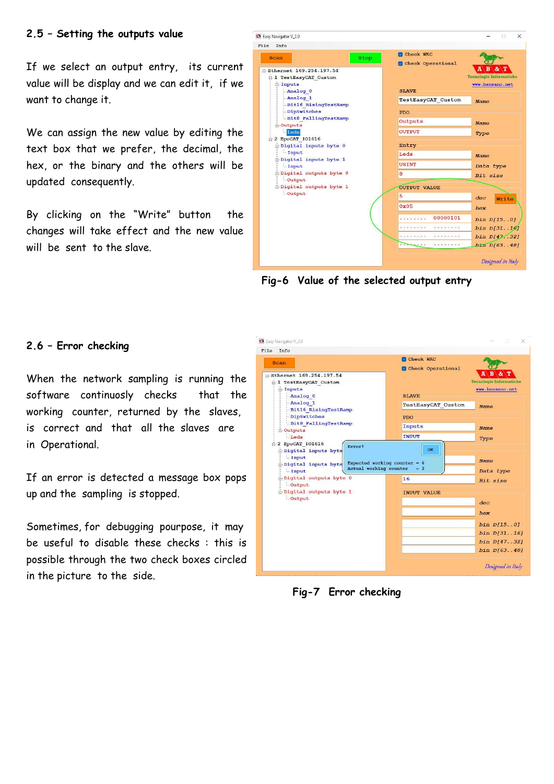### **2.5 – Setting the outputs value**

If we select an output entry, its current value will be display and we can edit it, if we want to change it.

We can assign the new value by editing the text box that we prefer, the decimal, the hex, or the binary and the others will be updated consequently.

By clicking on the "Write" button the changes will take effect and the new value will be sent to the slave.



 **Fig-6 Value of the selected output entry** 

### **2.6 – Error checking**

When the network sampling is running the software continuosly checks that the working counter, returned by the slaves, is correct and that all the slaves are in Operational.

If an error is detected a message box pops up and the sampling is stopped.

Sometimes, for debugging pourpose, it may be useful to disable these checks : this is possible through the two check boxes circled in the picture to the side.



 **Fig-7 Error checking**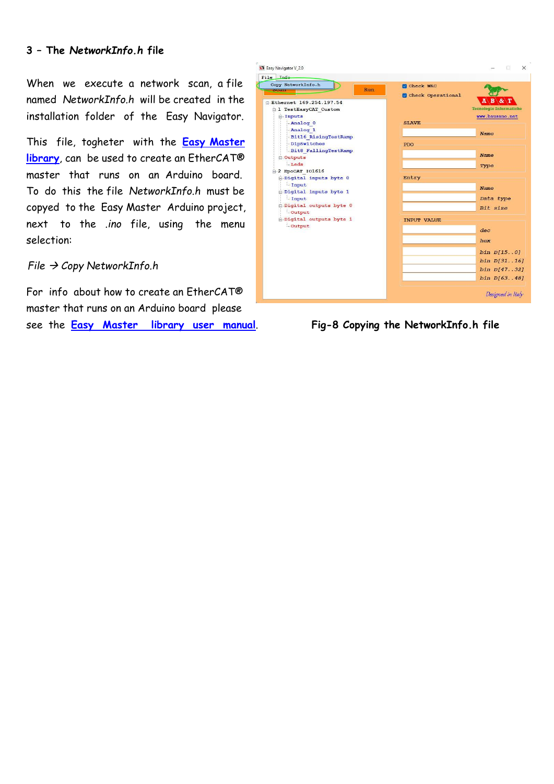#### <span id="page-4-0"></span>**3 – The** *NetworkInfo.h* **file**

When we execute a network scan, a file named *NetworkInfo.h* will be created in the installation folder of the Easy Navigator.

This file, togheter with the **[Easy Master](https://www.bausano.net/images/arduino-easycat/EasyMaster.zip) [library](https://www.bausano.net/images/arduino-easycat/EasyMaster.zip)**, can be used to create an EtherCAT® master that runs on an Arduino board. To do this the file *NetworkInfo.h* must be copyed to the Easy Master Arduino project, next to the *.ino* file, using the menu selection:

#### *File Copy NetworkInfo.h*

For info about how to create an EtherCAT® master that runs on an Arduino board please see the **Easy [Master library](https://www.bausano.net/images/arduino-easycat/Easy_Master_UserManual.pdf) user manual**. **Fig-8 Copying the NetworkInfo.h file** 

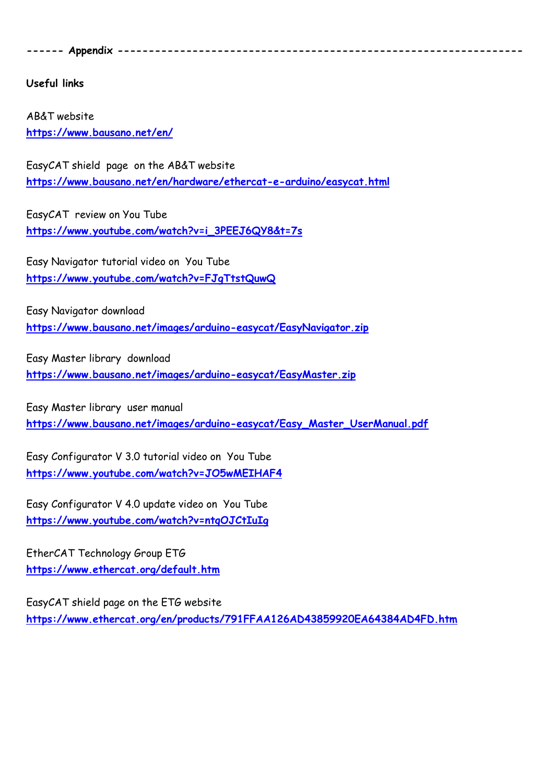**------ Appendix -----------------------------------------------------------------**

**Useful links**

AB&T website **<https://www.bausano.net/en/>**

EasyCAT shield page on the AB&T website **<https://www.bausano.net/en/hardware/ethercat-e-arduino/easycat.html>**

EasyCAT review on You Tube **[https://www.youtube.com/watch?v=i\\_3PEEJ6QY8&t=7s](https://www.youtube.com/watch?v=i_3PEEJ6QY8&t=7s)**

Easy Navigator tutorial video on You Tube **<https://www.youtube.com/watch?v=FJgTtstQuwQ>**

Easy Navigator download **<https://www.bausano.net/images/arduino-easycat/EasyNavigator.zip>**

Easy Master library download **<https://www.bausano.net/images/arduino-easycat/EasyMaster.zip>**

Easy Master library user manual **[https://www.bausano.net/images/arduino-easycat/Easy\\_Master\\_UserManual.pdf](https://www.bausano.net/images/arduino-easycat/Easy_Master_UserManual.pdf)**

Easy Configurator V 3.0 tutorial video on You Tube **<https://www.youtube.com/watch?v=JO5wMEIHAF4>**

Easy Configurator V 4.0 update video on You Tube **<https://www.youtube.com/watch?v=ntqOJCtIuIg>**

EtherCAT Technology Group ETG **<https://www.ethercat.org/default.htm>**

EasyCAT shield page on the ETG website **<https://www.ethercat.org/en/products/791FFAA126AD43859920EA64384AD4FD.htm>**